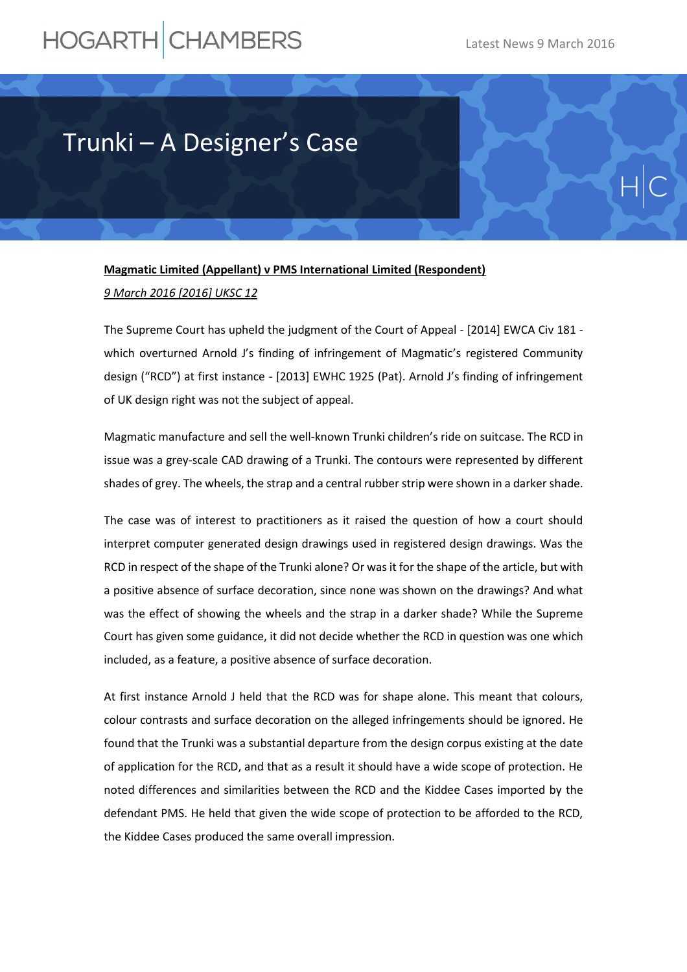## HOGARTH CHAMBERS

## Trunki – A Designer's Case

## **Magmatic Limited (Appellant) v PMS International Limited (Respondent)** *9 March 2016 [2016] UKSC 12*

The Supreme Court has upheld the judgment of the Court of Appeal - [2014] EWCA Civ 181 which overturned Arnold J's finding of infringement of Magmatic's registered Community design ("RCD") at first instance - [2013] EWHC 1925 (Pat). Arnold J's finding of infringement of UK design right was not the subject of appeal.

Magmatic manufacture and sell the well-known Trunki children's ride on suitcase. The RCD in issue was a grey-scale CAD drawing of a Trunki. The contours were represented by different shades of grey. The wheels, the strap and a central rubber strip were shown in a darker shade.

The case was of interest to practitioners as it raised the question of how a court should interpret computer generated design drawings used in registered design drawings. Was the RCD in respect of the shape of the Trunki alone? Or was it for the shape of the article, but with a positive absence of surface decoration, since none was shown on the drawings? And what was the effect of showing the wheels and the strap in a darker shade? While the Supreme Court has given some guidance, it did not decide whether the RCD in question was one which included, as a feature, a positive absence of surface decoration.

At first instance Arnold J held that the RCD was for shape alone. This meant that colours, colour contrasts and surface decoration on the alleged infringements should be ignored. He found that the Trunki was a substantial departure from the design corpus existing at the date of application for the RCD, and that as a result it should have a wide scope of protection. He noted differences and similarities between the RCD and the Kiddee Cases imported by the defendant PMS. He held that given the wide scope of protection to be afforded to the RCD, the Kiddee Cases produced the same overall impression.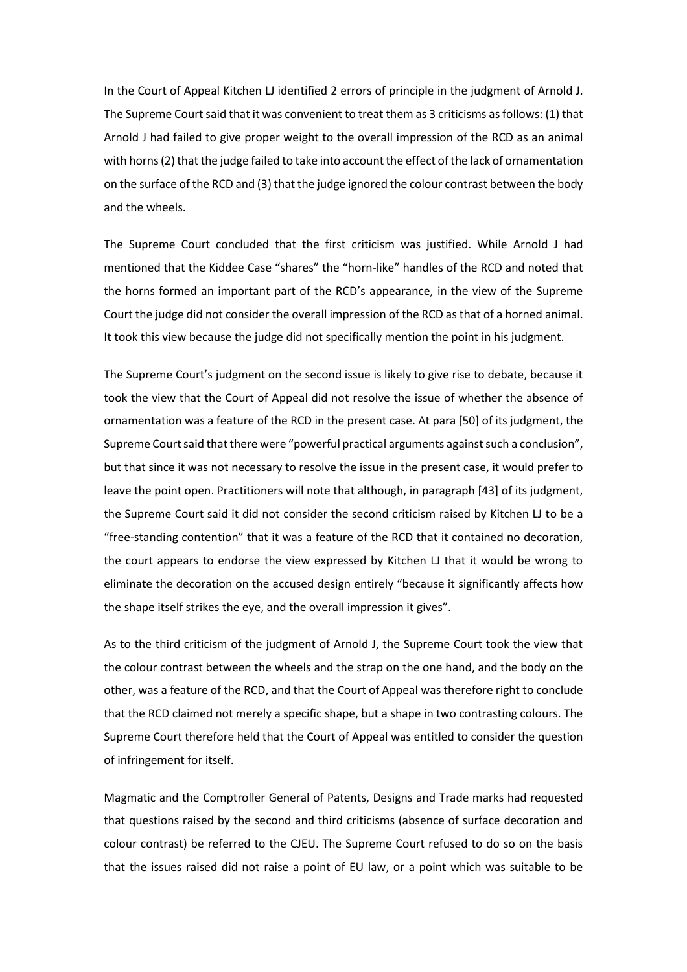In the Court of Appeal Kitchen LJ identified 2 errors of principle in the judgment of Arnold J. The Supreme Court said that it was convenient to treat them as 3 criticisms as follows: (1) that Arnold J had failed to give proper weight to the overall impression of the RCD as an animal with horns (2) that the judge failed to take into account the effect of the lack of ornamentation on the surface of the RCD and (3) that the judge ignored the colour contrast between the body and the wheels.

The Supreme Court concluded that the first criticism was justified. While Arnold J had mentioned that the Kiddee Case "shares" the "horn-like" handles of the RCD and noted that the horns formed an important part of the RCD's appearance, in the view of the Supreme Court the judge did not consider the overall impression of the RCD as that of a horned animal. It took this view because the judge did not specifically mention the point in his judgment.

The Supreme Court's judgment on the second issue is likely to give rise to debate, because it took the view that the Court of Appeal did not resolve the issue of whether the absence of ornamentation was a feature of the RCD in the present case. At para [50] of its judgment, the Supreme Court said that there were "powerful practical arguments against such a conclusion", but that since it was not necessary to resolve the issue in the present case, it would prefer to leave the point open. Practitioners will note that although, in paragraph [43] of its judgment, the Supreme Court said it did not consider the second criticism raised by Kitchen LJ to be a "free-standing contention" that it was a feature of the RCD that it contained no decoration, the court appears to endorse the view expressed by Kitchen LJ that it would be wrong to eliminate the decoration on the accused design entirely "because it significantly affects how the shape itself strikes the eye, and the overall impression it gives".

As to the third criticism of the judgment of Arnold J, the Supreme Court took the view that the colour contrast between the wheels and the strap on the one hand, and the body on the other, was a feature of the RCD, and that the Court of Appeal was therefore right to conclude that the RCD claimed not merely a specific shape, but a shape in two contrasting colours. The Supreme Court therefore held that the Court of Appeal was entitled to consider the question of infringement for itself.

Magmatic and the Comptroller General of Patents, Designs and Trade marks had requested that questions raised by the second and third criticisms (absence of surface decoration and colour contrast) be referred to the CJEU. The Supreme Court refused to do so on the basis that the issues raised did not raise a point of EU law, or a point which was suitable to be